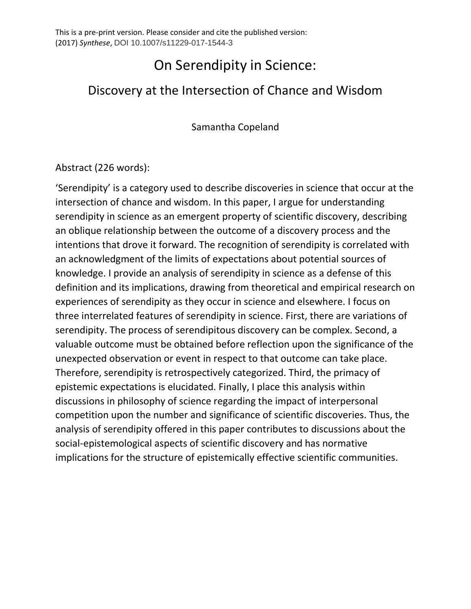# On Serendipity in Science:

## Discovery at the Intersection of Chance and Wisdom

Samantha Copeland

### Abstract (226 words):

'Serendipity' is a category used to describe discoveries in science that occur at the intersection of chance and wisdom. In this paper, I argue for understanding serendipity in science as an emergent property of scientific discovery, describing an oblique relationship between the outcome of a discovery process and the intentions that drove it forward. The recognition of serendipity is correlated with an acknowledgment of the limits of expectations about potential sources of knowledge. I provide an analysis of serendipity in science as a defense of this definition and its implications, drawing from theoretical and empirical research on experiences of serendipity as they occur in science and elsewhere. I focus on three interrelated features of serendipity in science. First, there are variations of serendipity. The process of serendipitous discovery can be complex. Second, a valuable outcome must be obtained before reflection upon the significance of the unexpected observation or event in respect to that outcome can take place. Therefore, serendipity is retrospectively categorized. Third, the primacy of epistemic expectations is elucidated. Finally, I place this analysis within discussions in philosophy of science regarding the impact of interpersonal competition upon the number and significance of scientific discoveries. Thus, the analysis of serendipity offered in this paper contributes to discussions about the social-epistemological aspects of scientific discovery and has normative implications for the structure of epistemically effective scientific communities.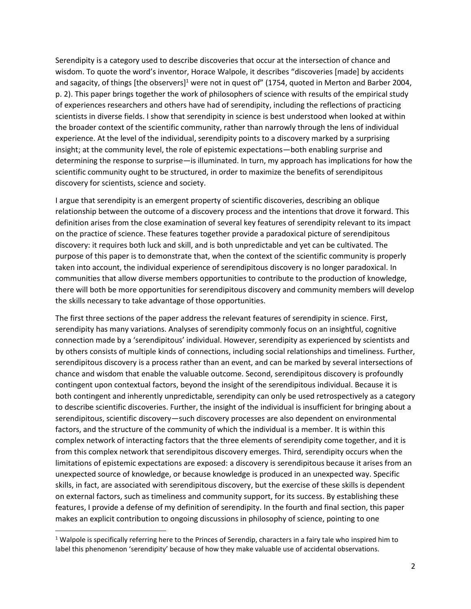Serendipity is a category used to describe discoveries that occur at the intersection of chance and wisdom. To quote the word's inventor, Horace Walpole, it describes "discoveries [made] by accidents and sagacity, of things [the observers]<sup>1</sup> were not in quest of" (1754, quoted in Merton and Barber 2004, p. 2). This paper brings together the work of philosophers of science with results of the empirical study of experiences researchers and others have had of serendipity, including the reflections of practicing scientists in diverse fields. I show that serendipity in science is best understood when looked at within the broader context of the scientific community, rather than narrowly through the lens of individual experience. At the level of the individual, serendipity points to a discovery marked by a surprising insight; at the community level, the role of epistemic expectations—both enabling surprise and determining the response to surprise—is illuminated. In turn, my approach has implications for how the scientific community ought to be structured, in order to maximize the benefits of serendipitous discovery for scientists, science and society.

I argue that serendipity is an emergent property of scientific discoveries, describing an oblique relationship between the outcome of a discovery process and the intentions that drove it forward. This definition arises from the close examination of several key features of serendipity relevant to its impact on the practice of science. These features together provide a paradoxical picture of serendipitous discovery: it requires both luck and skill, and is both unpredictable and yet can be cultivated. The purpose of this paper is to demonstrate that, when the context of the scientific community is properly taken into account, the individual experience of serendipitous discovery is no longer paradoxical. In communities that allow diverse members opportunities to contribute to the production of knowledge, there will both be more opportunities for serendipitous discovery and community members will develop the skills necessary to take advantage of those opportunities.

The first three sections of the paper address the relevant features of serendipity in science. First, serendipity has many variations. Analyses of serendipity commonly focus on an insightful, cognitive connection made by a 'serendipitous' individual. However, serendipity as experienced by scientists and by others consists of multiple kinds of connections, including social relationships and timeliness. Further, serendipitous discovery is a process rather than an event, and can be marked by several intersections of chance and wisdom that enable the valuable outcome. Second, serendipitous discovery is profoundly contingent upon contextual factors, beyond the insight of the serendipitous individual. Because it is both contingent and inherently unpredictable, serendipity can only be used retrospectively as a category to describe scientific discoveries. Further, the insight of the individual is insufficient for bringing about a serendipitous, scientific discovery—such discovery processes are also dependent on environmental factors, and the structure of the community of which the individual is a member. It is within this complex network of interacting factors that the three elements of serendipity come together, and it is from this complex network that serendipitous discovery emerges. Third, serendipity occurs when the limitations of epistemic expectations are exposed: a discovery is serendipitous because it arises from an unexpected source of knowledge, or because knowledge is produced in an unexpected way. Specific skills, in fact, are associated with serendipitous discovery, but the exercise of these skills is dependent on external factors, such as timeliness and community support, for its success. By establishing these features, I provide a defense of my definition of serendipity. In the fourth and final section, this paper makes an explicit contribution to ongoing discussions in philosophy of science, pointing to one

l

 $1$  Walpole is specifically referring here to the Princes of Serendip, characters in a fairy tale who inspired him to label this phenomenon 'serendipity' because of how they make valuable use of accidental observations.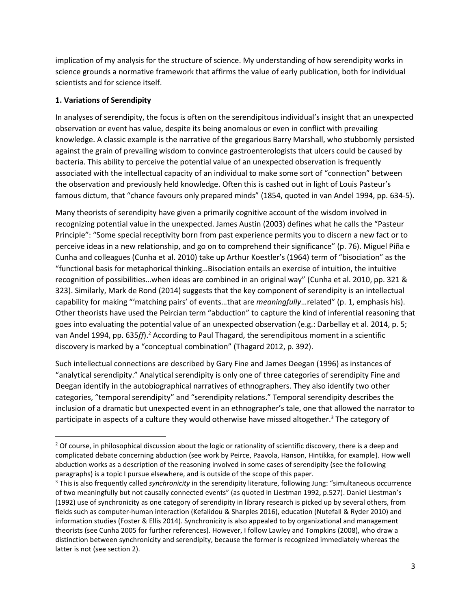implication of my analysis for the structure of science. My understanding of how serendipity works in science grounds a normative framework that affirms the value of early publication, both for individual scientists and for science itself.

#### **1. Variations of Serendipity**

 $\overline{\phantom{a}}$ 

In analyses of serendipity, the focus is often on the serendipitous individual's insight that an unexpected observation or event has value, despite its being anomalous or even in conflict with prevailing knowledge. A classic example is the narrative of the gregarious Barry Marshall, who stubbornly persisted against the grain of prevailing wisdom to convince gastroenterologists that ulcers could be caused by bacteria. This ability to perceive the potential value of an unexpected observation is frequently associated with the intellectual capacity of an individual to make some sort of "connection" between the observation and previously held knowledge. Often this is cashed out in light of Louis Pasteur's famous dictum, that "chance favours only prepared minds" (1854, quoted in van Andel 1994, pp. 634-5).

Many theorists of serendipity have given a primarily cognitive account of the wisdom involved in recognizing potential value in the unexpected. James Austin (2003) defines what he calls the "Pasteur Principle": "Some special receptivity born from past experience permits you to discern a new fact or to perceive ideas in a new relationship, and go on to comprehend their significance" (p. 76). Miguel Piña e Cunha and colleagues (Cunha et al. 2010) take up Arthur Koestler's (1964) term of "bisociation" as the "functional basis for metaphorical thinking…Bisociation entails an exercise of intuition, the intuitive recognition of possibilities…when ideas are combined in an original way" (Cunha et al. 2010, pp. 321 & 323). Similarly, Mark de Rond (2014) suggests that the key component of serendipity is an intellectual capability for making "'matching pairs' of events…that are *meaningfully*…related" (p. 1, emphasis his). Other theorists have used the Peircian term "abduction" to capture the kind of inferential reasoning that goes into evaluating the potential value of an unexpected observation (e.g.: Darbellay et al. 2014, p. 5; van Andel 1994, pp. 635*ff*).<sup>2</sup> According to Paul Thagard, the serendipitous moment in a scientific discovery is marked by a "conceptual combination" (Thagard 2012, p. 392).

Such intellectual connections are described by Gary Fine and James Deegan (1996) as instances of "analytical serendipity." Analytical serendipity is only one of three categories of serendipity Fine and Deegan identify in the autobiographical narratives of ethnographers. They also identify two other categories, "temporal serendipity" and "serendipity relations." Temporal serendipity describes the inclusion of a dramatic but unexpected event in an ethnographer's tale, one that allowed the narrator to participate in aspects of a culture they would otherwise have missed altogether.<sup>3</sup> The category of

<sup>&</sup>lt;sup>2</sup> Of course, in philosophical discussion about the logic or rationality of scientific discovery, there is a deep and complicated debate concerning abduction (see work by Peirce, Paavola, Hanson, Hintikka, for example). How well abduction works as a description of the reasoning involved in some cases of serendipity (see the following paragraphs) is a topic I pursue elsewhere, and is outside of the scope of this paper.

<sup>3</sup> This is also frequently called *synchronicity* in the serendipity literature, following Jung: "simultaneous occurrence of two meaningfully but not causally connected events" (as quoted in Liestman 1992, p.527). Daniel Liestman's (1992) use of synchronicity as one category of serendipity in library research is picked up by several others, from fields such as computer-human interaction (Kefalidou & Sharples 2016), education (Nutefall & Ryder 2010) and information studies (Foster & Ellis 2014). Synchronicity is also appealed to by organizational and management theorists (see Cunha 2005 for further references). However, I follow Lawley and Tompkins (2008), who draw a distinction between synchronicity and serendipity, because the former is recognized immediately whereas the latter is not (see section 2).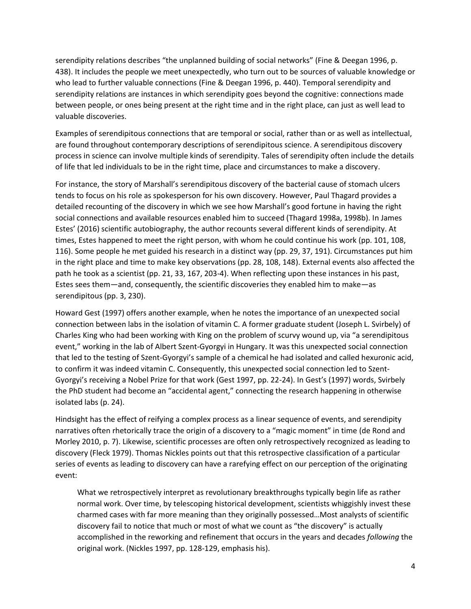serendipity relations describes "the unplanned building of social networks" (Fine & Deegan 1996, p. 438). It includes the people we meet unexpectedly, who turn out to be sources of valuable knowledge or who lead to further valuable connections (Fine & Deegan 1996, p. 440). Temporal serendipity and serendipity relations are instances in which serendipity goes beyond the cognitive: connections made between people, or ones being present at the right time and in the right place, can just as well lead to valuable discoveries.

Examples of serendipitous connections that are temporal or social, rather than or as well as intellectual, are found throughout contemporary descriptions of serendipitous science. A serendipitous discovery process in science can involve multiple kinds of serendipity. Tales of serendipity often include the details of life that led individuals to be in the right time, place and circumstances to make a discovery.

For instance, the story of Marshall's serendipitous discovery of the bacterial cause of stomach ulcers tends to focus on his role as spokesperson for his own discovery. However, Paul Thagard provides a detailed recounting of the discovery in which we see how Marshall's good fortune in having the right social connections and available resources enabled him to succeed (Thagard 1998a, 1998b). In James Estes' (2016) scientific autobiography, the author recounts several different kinds of serendipity. At times, Estes happened to meet the right person, with whom he could continue his work (pp. 101, 108, 116). Some people he met guided his research in a distinct way (pp. 29, 37, 191). Circumstances put him in the right place and time to make key observations (pp. 28, 108, 148). External events also affected the path he took as a scientist (pp. 21, 33, 167, 203-4). When reflecting upon these instances in his past, Estes sees them—and, consequently, the scientific discoveries they enabled him to make—as serendipitous (pp. 3, 230).

Howard Gest (1997) offers another example, when he notes the importance of an unexpected social connection between labs in the isolation of vitamin C. A former graduate student (Joseph L. Svirbely) of Charles King who had been working with King on the problem of scurvy wound up, via "a serendipitous event," working in the lab of Albert Szent-Gyorgyi in Hungary. It was this unexpected social connection that led to the testing of Szent-Gyorgyi's sample of a chemical he had isolated and called hexuronic acid, to confirm it was indeed vitamin C. Consequently, this unexpected social connection led to Szent-Gyorgyi's receiving a Nobel Prize for that work (Gest 1997, pp. 22-24). In Gest's (1997) words, Svirbely the PhD student had become an "accidental agent," connecting the research happening in otherwise isolated labs (p. 24).

Hindsight has the effect of reifying a complex process as a linear sequence of events, and serendipity narratives often rhetorically trace the origin of a discovery to a "magic moment" in time (de Rond and Morley 2010, p. 7). Likewise, scientific processes are often only retrospectively recognized as leading to discovery (Fleck 1979). Thomas Nickles points out that this retrospective classification of a particular series of events as leading to discovery can have a rarefying effect on our perception of the originating event:

What we retrospectively interpret as revolutionary breakthroughs typically begin life as rather normal work. Over time, by telescoping historical development, scientists whiggishly invest these charmed cases with far more meaning than they originally possessed…Most analysts of scientific discovery fail to notice that much or most of what we count as "the discovery" is actually accomplished in the reworking and refinement that occurs in the years and decades *following* the original work. (Nickles 1997, pp. 128-129, emphasis his).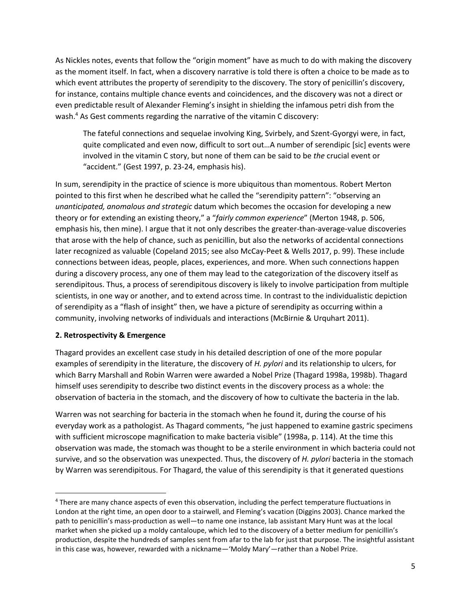As Nickles notes, events that follow the "origin moment" have as much to do with making the discovery as the moment itself. In fact, when a discovery narrative is told there is often a choice to be made as to which event attributes the property of serendipity to the discovery. The story of penicillin's discovery, for instance, contains multiple chance events and coincidences, and the discovery was not a direct or even predictable result of Alexander Fleming's insight in shielding the infamous petri dish from the wash.<sup>4</sup> As Gest comments regarding the narrative of the vitamin C discovery:

The fateful connections and sequelae involving King, Svirbely, and Szent-Gyorgyi were, in fact, quite complicated and even now, difficult to sort out…A number of serendipic [sic] events were involved in the vitamin C story, but none of them can be said to be *the* crucial event or "accident." (Gest 1997, p. 23-24, emphasis his).

In sum, serendipity in the practice of science is more ubiquitous than momentous. Robert Merton pointed to this first when he described what he called the "serendipity pattern": "observing an *unanticipated, anomalous and strategic* datum which becomes the occasion for developing a new theory or for extending an existing theory," a "*fairly common experience*" (Merton 1948, p. 506, emphasis his, then mine). I argue that it not only describes the greater-than-average-value discoveries that arose with the help of chance, such as penicillin, but also the networks of accidental connections later recognized as valuable (Copeland 2015; see also McCay-Peet & Wells 2017, p. 99). These include connections between ideas, people, places, experiences, and more. When such connections happen during a discovery process, any one of them may lead to the categorization of the discovery itself as serendipitous. Thus, a process of serendipitous discovery is likely to involve participation from multiple scientists, in one way or another, and to extend across time. In contrast to the individualistic depiction of serendipity as a "flash of insight" then, we have a picture of serendipity as occurring within a community, involving networks of individuals and interactions (McBirnie & Urquhart 2011).

#### **2. Retrospectivity & Emergence**

 $\overline{a}$ 

Thagard provides an excellent case study in his detailed description of one of the more popular examples of serendipity in the literature, the discovery of *H. pylori* and its relationship to ulcers, for which Barry Marshall and Robin Warren were awarded a Nobel Prize (Thagard 1998a, 1998b). Thagard himself uses serendipity to describe two distinct events in the discovery process as a whole: the observation of bacteria in the stomach, and the discovery of how to cultivate the bacteria in the lab.

Warren was not searching for bacteria in the stomach when he found it, during the course of his everyday work as a pathologist. As Thagard comments, "he just happened to examine gastric specimens with sufficient microscope magnification to make bacteria visible" (1998a, p. 114). At the time this observation was made, the stomach was thought to be a sterile environment in which bacteria could not survive, and so the observation was unexpected. Thus, the discovery of *H. pylori* bacteria in the stomach by Warren was serendipitous. For Thagard, the value of this serendipity is that it generated questions

<sup>4</sup> There are many chance aspects of even this observation, including the perfect temperature fluctuations in London at the right time, an open door to a stairwell, and Fleming's vacation (Diggins 2003). Chance marked the path to penicillin's mass-production as well—to name one instance, lab assistant Mary Hunt was at the local market when she picked up a moldy cantaloupe, which led to the discovery of a better medium for penicillin's production, despite the hundreds of samples sent from afar to the lab for just that purpose. The insightful assistant in this case was, however, rewarded with a nickname—'Moldy Mary'—rather than a Nobel Prize.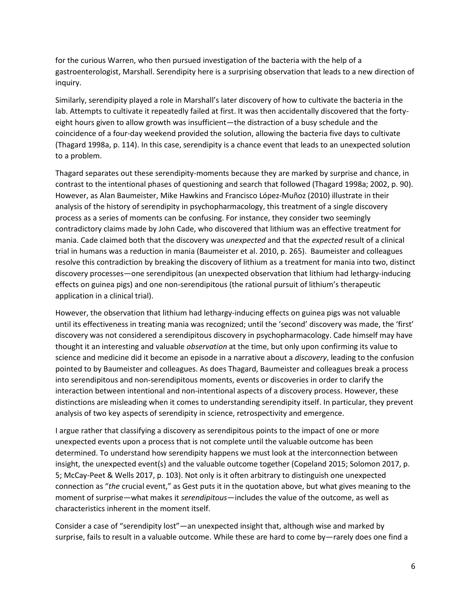for the curious Warren, who then pursued investigation of the bacteria with the help of a gastroenterologist, Marshall. Serendipity here is a surprising observation that leads to a new direction of inquiry.

Similarly, serendipity played a role in Marshall's later discovery of how to cultivate the bacteria in the lab. Attempts to cultivate it repeatedly failed at first. It was then accidentally discovered that the fortyeight hours given to allow growth was insufficient—the distraction of a busy schedule and the coincidence of a four-day weekend provided the solution, allowing the bacteria five days to cultivate (Thagard 1998a, p. 114). In this case, serendipity is a chance event that leads to an unexpected solution to a problem.

Thagard separates out these serendipity-moments because they are marked by surprise and chance, in contrast to the intentional phases of questioning and search that followed (Thagard 1998a; 2002, p. 90). However, as Alan Baumeister, Mike Hawkins and Francisco López-Muñoz (2010) illustrate in their analysis of the history of serendipity in psychopharmacology, this treatment of a single discovery process as a series of moments can be confusing. For instance, they consider two seemingly contradictory claims made by John Cade, who discovered that lithium was an effective treatment for mania. Cade claimed both that the discovery was *unexpected* and that the *expected* result of a clinical trial in humans was a reduction in mania (Baumeister et al. 2010, p. 265). Baumeister and colleagues resolve this contradiction by breaking the discovery of lithium as a treatment for mania into two, distinct discovery processes—one serendipitous (an unexpected observation that lithium had lethargy-inducing effects on guinea pigs) and one non-serendipitous (the rational pursuit of lithium's therapeutic application in a clinical trial).

However, the observation that lithium had lethargy-inducing effects on guinea pigs was not valuable until its effectiveness in treating mania was recognized; until the 'second' discovery was made, the 'first' discovery was not considered a serendipitous discovery in psychopharmacology. Cade himself may have thought it an interesting and valuable *observation* at the time, but only upon confirming its value to science and medicine did it become an episode in a narrative about a *discovery*, leading to the confusion pointed to by Baumeister and colleagues. As does Thagard, Baumeister and colleagues break a process into serendipitous and non-serendipitous moments, events or discoveries in order to clarify the interaction between intentional and non-intentional aspects of a discovery process. However, these distinctions are misleading when it comes to understanding serendipity itself. In particular, they prevent analysis of two key aspects of serendipity in science, retrospectivity and emergence.

I argue rather that classifying a discovery as serendipitous points to the impact of one or more unexpected events upon a process that is not complete until the valuable outcome has been determined. To understand how serendipity happens we must look at the interconnection between insight, the unexpected event(s) and the valuable outcome together (Copeland 2015; Solomon 2017, p. 5; McCay-Peet & Wells 2017, p. 103). Not only is it often arbitrary to distinguish one unexpected connection as "*the* crucial event," as Gest puts it in the quotation above, but what gives meaning to the moment of surprise—what makes it *serendipitous*—includes the value of the outcome, as well as characteristics inherent in the moment itself.

Consider a case of "serendipity lost"—an unexpected insight that, although wise and marked by surprise, fails to result in a valuable outcome. While these are hard to come by—rarely does one find a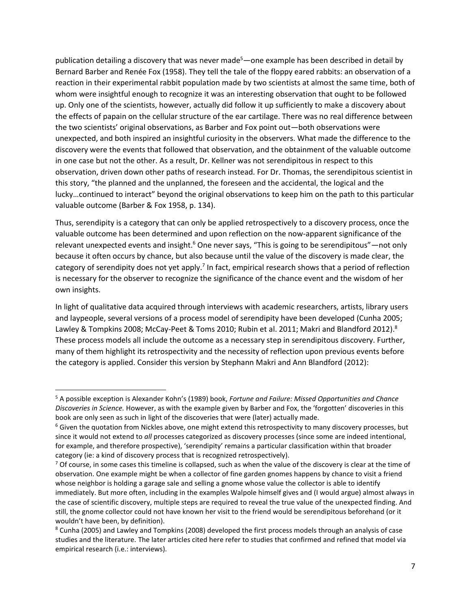publication detailing a discovery that was never made<sup>5</sup>—one example has been described in detail by Bernard Barber and Renée Fox (1958). They tell the tale of the floppy eared rabbits: an observation of a reaction in their experimental rabbit population made by two scientists at almost the same time, both of whom were insightful enough to recognize it was an interesting observation that ought to be followed up. Only one of the scientists, however, actually did follow it up sufficiently to make a discovery about the effects of papain on the cellular structure of the ear cartilage. There was no real difference between the two scientists' original observations, as Barber and Fox point out—both observations were unexpected, and both inspired an insightful curiosity in the observers. What made the difference to the discovery were the events that followed that observation, and the obtainment of the valuable outcome in one case but not the other. As a result, Dr. Kellner was not serendipitous in respect to this observation, driven down other paths of research instead. For Dr. Thomas, the serendipitous scientist in this story, "the planned and the unplanned, the foreseen and the accidental, the logical and the lucky…continued to interact" beyond the original observations to keep him on the path to this particular valuable outcome (Barber & Fox 1958, p. 134).

Thus, serendipity is a category that can only be applied retrospectively to a discovery process, once the valuable outcome has been determined and upon reflection on the now-apparent significance of the relevant unexpected events and insight.<sup>6</sup> One never says, "This is going to be serendipitous"—not only because it often occurs by chance, but also because until the value of the discovery is made clear, the category of serendipity does not yet apply.<sup>7</sup> In fact, empirical research shows that a period of reflection is necessary for the observer to recognize the significance of the chance event and the wisdom of her own insights.

In light of qualitative data acquired through interviews with academic researchers, artists, library users and laypeople, several versions of a process model of serendipity have been developed (Cunha 2005; Lawley & Tompkins 2008; McCay-Peet & Toms 2010; Rubin et al. 2011; Makri and Blandford 2012).<sup>8</sup> These process models all include the outcome as a necessary step in serendipitous discovery. Further, many of them highlight its retrospectivity and the necessity of reflection upon previous events before the category is applied. Consider this version by Stephann Makri and Ann Blandford (2012):

 $\overline{\phantom{a}}$ 

<sup>5</sup> A possible exception is Alexander Kohn's (1989) book, *Fortune and Failure: Missed Opportunities and Chance Discoveries in Science.* However, as with the example given by Barber and Fox, the 'forgotten' discoveries in this book are only seen as such in light of the discoveries that were (later) actually made.

<sup>&</sup>lt;sup>6</sup> Given the quotation from Nickles above, one might extend this retrospectivity to many discovery processes, but since it would not extend to *all* processes categorized as discovery processes (since some are indeed intentional, for example, and therefore prospective), 'serendipity' remains a particular classification within that broader category (ie: a kind of discovery process that is recognized retrospectively).

 $7$  Of course, in some cases this timeline is collapsed, such as when the value of the discovery is clear at the time of observation. One example might be when a collector of fine garden gnomes happens by chance to visit a friend whose neighbor is holding a garage sale and selling a gnome whose value the collector is able to identify immediately. But more often, including in the examples Walpole himself gives and (I would argue) almost always in the case of scientific discovery, multiple steps are required to reveal the true value of the unexpected finding. And still, the gnome collector could not have known her visit to the friend would be serendipitous beforehand (or it wouldn't have been, by definition).

<sup>8</sup> Cunha (2005) and Lawley and Tompkins (2008) developed the first process models through an analysis of case studies and the literature. The later articles cited here refer to studies that confirmed and refined that model via empirical research (i.e.: interviews).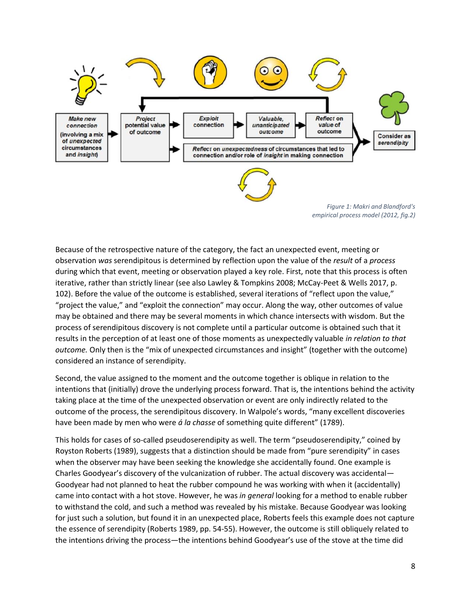

*Figure 1: Makri and Blandford's empirical process model (2012, fig.2)*

Because of the retrospective nature of the category, the fact an unexpected event, meeting or observation *was* serendipitous is determined by reflection upon the value of the *result* of a *process* during which that event, meeting or observation played a key role. First, note that this process is often iterative, rather than strictly linear (see also Lawley & Tompkins 2008; McCay-Peet & Wells 2017, p. 102). Before the value of the outcome is established, several iterations of "reflect upon the value," "project the value," and "exploit the connection" may occur. Along the way, other outcomes of value may be obtained and there may be several moments in which chance intersects with wisdom. But the process of serendipitous discovery is not complete until a particular outcome is obtained such that it results in the perception of at least one of those moments as unexpectedly valuable *in relation to that outcome.* Only then is the "mix of unexpected circumstances and insight" (together with the outcome) considered an instance of serendipity.

Second, the value assigned to the moment and the outcome together is oblique in relation to the intentions that (initially) drove the underlying process forward. That is, the intentions behind the activity taking place at the time of the unexpected observation or event are only indirectly related to the outcome of the process, the serendipitous discovery. In Walpole's words, "many excellent discoveries have been made by men who were *á la chasse* of something quite different" (1789).

This holds for cases of so-called pseudoserendipity as well. The term "pseudoserendipity," coined by Royston Roberts (1989), suggests that a distinction should be made from "pure serendipity" in cases when the observer may have been seeking the knowledge she accidentally found. One example is Charles Goodyear's discovery of the vulcanization of rubber. The actual discovery was accidental— Goodyear had not planned to heat the rubber compound he was working with when it (accidentally) came into contact with a hot stove. However, he was *in general* looking for a method to enable rubber to withstand the cold, and such a method was revealed by his mistake. Because Goodyear was looking for just such a solution, but found it in an unexpected place, Roberts feels this example does not capture the essence of serendipity (Roberts 1989, pp. 54-55). However, the outcome is still obliquely related to the intentions driving the process—the intentions behind Goodyear's use of the stove at the time did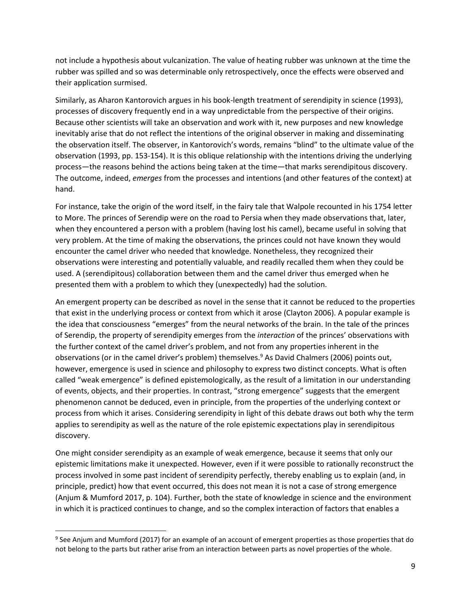not include a hypothesis about vulcanization. The value of heating rubber was unknown at the time the rubber was spilled and so was determinable only retrospectively, once the effects were observed and their application surmised.

Similarly, as Aharon Kantorovich argues in his book-length treatment of serendipity in science (1993), processes of discovery frequently end in a way unpredictable from the perspective of their origins. Because other scientists will take an observation and work with it, new purposes and new knowledge inevitably arise that do not reflect the intentions of the original observer in making and disseminating the observation itself. The observer, in Kantorovich's words, remains "blind" to the ultimate value of the observation (1993, pp. 153-154). It is this oblique relationship with the intentions driving the underlying process—the reasons behind the actions being taken at the time—that marks serendipitous discovery. The outcome, indeed, *emerges* from the processes and intentions (and other features of the context) at hand.

For instance, take the origin of the word itself, in the fairy tale that Walpole recounted in his 1754 letter to More. The princes of Serendip were on the road to Persia when they made observations that, later, when they encountered a person with a problem (having lost his camel), became useful in solving that very problem. At the time of making the observations, the princes could not have known they would encounter the camel driver who needed that knowledge. Nonetheless, they recognized their observations were interesting and potentially valuable, and readily recalled them when they could be used. A (serendipitous) collaboration between them and the camel driver thus emerged when he presented them with a problem to which they (unexpectedly) had the solution.

An emergent property can be described as novel in the sense that it cannot be reduced to the properties that exist in the underlying process or context from which it arose (Clayton 2006). A popular example is the idea that consciousness "emerges" from the neural networks of the brain. In the tale of the princes of Serendip, the property of serendipity emerges from the *interaction* of the princes' observations with the further context of the camel driver's problem, and not from any properties inherent in the observations (or in the camel driver's problem) themselves.<sup>9</sup> As David Chalmers (2006) points out, however, emergence is used in science and philosophy to express two distinct concepts. What is often called "weak emergence" is defined epistemologically, as the result of a limitation in our understanding of events, objects, and their properties. In contrast, "strong emergence" suggests that the emergent phenomenon cannot be deduced, even in principle, from the properties of the underlying context or process from which it arises. Considering serendipity in light of this debate draws out both why the term applies to serendipity as well as the nature of the role epistemic expectations play in serendipitous discovery.

One might consider serendipity as an example of weak emergence, because it seems that only our epistemic limitations make it unexpected. However, even if it were possible to rationally reconstruct the process involved in some past incident of serendipity perfectly, thereby enabling us to explain (and, in principle, predict) how that event occurred, this does not mean it is not a case of strong emergence (Anjum & Mumford 2017, p. 104). Further, both the state of knowledge in science and the environment in which it is practiced continues to change, and so the complex interaction of factors that enables a

l

<sup>&</sup>lt;sup>9</sup> See Anjum and Mumford (2017) for an example of an account of emergent properties as those properties that do not belong to the parts but rather arise from an interaction between parts as novel properties of the whole.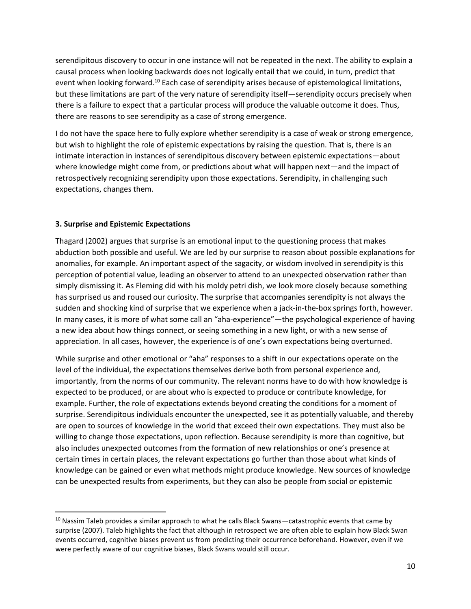serendipitous discovery to occur in one instance will not be repeated in the next. The ability to explain a causal process when looking backwards does not logically entail that we could, in turn, predict that event when looking forward.<sup>10</sup> Each case of serendipity arises because of epistemological limitations, but these limitations are part of the very nature of serendipity itself—serendipity occurs precisely when there is a failure to expect that a particular process will produce the valuable outcome it does. Thus, there are reasons to see serendipity as a case of strong emergence.

I do not have the space here to fully explore whether serendipity is a case of weak or strong emergence, but wish to highlight the role of epistemic expectations by raising the question. That is, there is an intimate interaction in instances of serendipitous discovery between epistemic expectations—about where knowledge might come from, or predictions about what will happen next—and the impact of retrospectively recognizing serendipity upon those expectations. Serendipity, in challenging such expectations, changes them.

#### **3. Surprise and Epistemic Expectations**

 $\overline{a}$ 

Thagard (2002) argues that surprise is an emotional input to the questioning process that makes abduction both possible and useful. We are led by our surprise to reason about possible explanations for anomalies, for example. An important aspect of the sagacity, or wisdom involved in serendipity is this perception of potential value, leading an observer to attend to an unexpected observation rather than simply dismissing it. As Fleming did with his moldy petri dish, we look more closely because something has surprised us and roused our curiosity. The surprise that accompanies serendipity is not always the sudden and shocking kind of surprise that we experience when a jack-in-the-box springs forth, however. In many cases, it is more of what some call an "aha-experience"—the psychological experience of having a new idea about how things connect, or seeing something in a new light, or with a new sense of appreciation. In all cases, however, the experience is of one's own expectations being overturned.

While surprise and other emotional or "aha" responses to a shift in our expectations operate on the level of the individual, the expectations themselves derive both from personal experience and, importantly, from the norms of our community. The relevant norms have to do with how knowledge is expected to be produced, or are about who is expected to produce or contribute knowledge, for example. Further, the role of expectations extends beyond creating the conditions for a moment of surprise. Serendipitous individuals encounter the unexpected, see it as potentially valuable, and thereby are open to sources of knowledge in the world that exceed their own expectations. They must also be willing to change those expectations, upon reflection. Because serendipity is more than cognitive, but also includes unexpected outcomes from the formation of new relationships or one's presence at certain times in certain places, the relevant expectations go further than those about what kinds of knowledge can be gained or even what methods might produce knowledge. New sources of knowledge can be unexpected results from experiments, but they can also be people from social or epistemic

 $10$  Nassim Taleb provides a similar approach to what he calls Black Swans—catastrophic events that came by surprise (2007). Taleb highlights the fact that although in retrospect we are often able to explain how Black Swan events occurred, cognitive biases prevent us from predicting their occurrence beforehand. However, even if we were perfectly aware of our cognitive biases, Black Swans would still occur.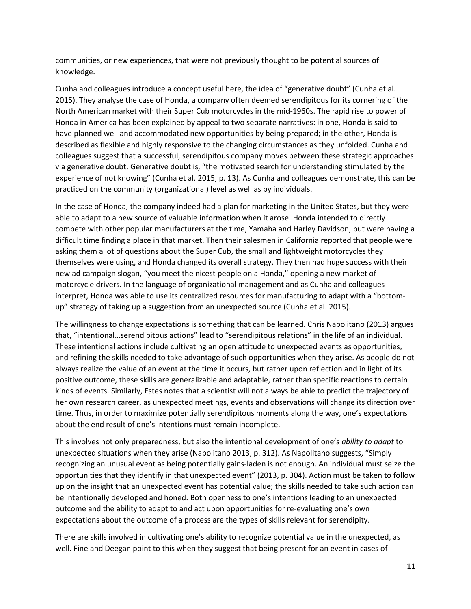communities, or new experiences, that were not previously thought to be potential sources of knowledge.

Cunha and colleagues introduce a concept useful here, the idea of "generative doubt" (Cunha et al. 2015). They analyse the case of Honda, a company often deemed serendipitous for its cornering of the North American market with their Super Cub motorcycles in the mid-1960s. The rapid rise to power of Honda in America has been explained by appeal to two separate narratives: in one, Honda is said to have planned well and accommodated new opportunities by being prepared; in the other, Honda is described as flexible and highly responsive to the changing circumstances as they unfolded. Cunha and colleagues suggest that a successful, serendipitous company moves between these strategic approaches via generative doubt. Generative doubt is, "the motivated search for understanding stimulated by the experience of not knowing" (Cunha et al. 2015, p. 13). As Cunha and colleagues demonstrate, this can be practiced on the community (organizational) level as well as by individuals.

In the case of Honda, the company indeed had a plan for marketing in the United States, but they were able to adapt to a new source of valuable information when it arose. Honda intended to directly compete with other popular manufacturers at the time, Yamaha and Harley Davidson, but were having a difficult time finding a place in that market. Then their salesmen in California reported that people were asking them a lot of questions about the Super Cub, the small and lightweight motorcycles they themselves were using, and Honda changed its overall strategy. They then had huge success with their new ad campaign slogan, "you meet the nicest people on a Honda," opening a new market of motorcycle drivers. In the language of organizational management and as Cunha and colleagues interpret, Honda was able to use its centralized resources for manufacturing to adapt with a "bottomup" strategy of taking up a suggestion from an unexpected source (Cunha et al. 2015).

The willingness to change expectations is something that can be learned. Chris Napolitano (2013) argues that, "intentional…serendipitous actions" lead to "serendipitous relations" in the life of an individual. These intentional actions include cultivating an open attitude to unexpected events as opportunities, and refining the skills needed to take advantage of such opportunities when they arise. As people do not always realize the value of an event at the time it occurs, but rather upon reflection and in light of its positive outcome, these skills are generalizable and adaptable, rather than specific reactions to certain kinds of events. Similarly, Estes notes that a scientist will not always be able to predict the trajectory of her own research career, as unexpected meetings, events and observations will change its direction over time. Thus, in order to maximize potentially serendipitous moments along the way, one's expectations about the end result of one's intentions must remain incomplete.

This involves not only preparedness, but also the intentional development of one's *ability to adapt* to unexpected situations when they arise (Napolitano 2013, p. 312). As Napolitano suggests, "Simply recognizing an unusual event as being potentially gains-laden is not enough. An individual must seize the opportunities that they identify in that unexpected event" (2013, p. 304). Action must be taken to follow up on the insight that an unexpected event has potential value; the skills needed to take such action can be intentionally developed and honed. Both openness to one's intentions leading to an unexpected outcome and the ability to adapt to and act upon opportunities for re-evaluating one's own expectations about the outcome of a process are the types of skills relevant for serendipity.

There are skills involved in cultivating one's ability to recognize potential value in the unexpected, as well. Fine and Deegan point to this when they suggest that being present for an event in cases of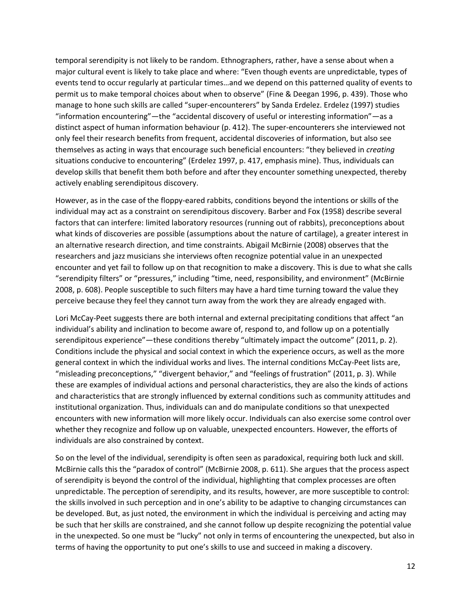temporal serendipity is not likely to be random. Ethnographers, rather, have a sense about when a major cultural event is likely to take place and where: "Even though events are unpredictable, types of events tend to occur regularly at particular times…and we depend on this patterned quality of events to permit us to make temporal choices about when to observe" (Fine & Deegan 1996, p. 439). Those who manage to hone such skills are called "super-encounterers" by Sanda Erdelez. Erdelez (1997) studies "information encountering"—the "accidental discovery of useful or interesting information"—as a distinct aspect of human information behaviour (p. 412). The super-encounterers she interviewed not only feel their research benefits from frequent, accidental discoveries of information, but also see themselves as acting in ways that encourage such beneficial encounters: "they believed in *creating* situations conducive to encountering" (Erdelez 1997, p. 417, emphasis mine). Thus, individuals can develop skills that benefit them both before and after they encounter something unexpected, thereby actively enabling serendipitous discovery.

However, as in the case of the floppy-eared rabbits, conditions beyond the intentions or skills of the individual may act as a constraint on serendipitous discovery. Barber and Fox (1958) describe several factors that can interfere: limited laboratory resources (running out of rabbits), preconceptions about what kinds of discoveries are possible (assumptions about the nature of cartilage), a greater interest in an alternative research direction, and time constraints. Abigail McBirnie (2008) observes that the researchers and jazz musicians she interviews often recognize potential value in an unexpected encounter and yet fail to follow up on that recognition to make a discovery. This is due to what she calls "serendipity filters" or "pressures," including "time, need, responsibility, and environment" (McBirnie 2008, p. 608). People susceptible to such filters may have a hard time turning toward the value they perceive because they feel they cannot turn away from the work they are already engaged with.

Lori McCay-Peet suggests there are both internal and external precipitating conditions that affect "an individual's ability and inclination to become aware of, respond to, and follow up on a potentially serendipitous experience"—these conditions thereby "ultimately impact the outcome" (2011, p. 2). Conditions include the physical and social context in which the experience occurs, as well as the more general context in which the individual works and lives. The internal conditions McCay-Peet lists are, "misleading preconceptions," "divergent behavior," and "feelings of frustration" (2011, p. 3). While these are examples of individual actions and personal characteristics, they are also the kinds of actions and characteristics that are strongly influenced by external conditions such as community attitudes and institutional organization. Thus, individuals can and do manipulate conditions so that unexpected encounters with new information will more likely occur. Individuals can also exercise some control over whether they recognize and follow up on valuable, unexpected encounters. However, the efforts of individuals are also constrained by context.

So on the level of the individual, serendipity is often seen as paradoxical, requiring both luck and skill. McBirnie calls this the "paradox of control" (McBirnie 2008, p. 611). She argues that the process aspect of serendipity is beyond the control of the individual, highlighting that complex processes are often unpredictable. The perception of serendipity, and its results, however, are more susceptible to control: the skills involved in such perception and in one's ability to be adaptive to changing circumstances can be developed. But, as just noted, the environment in which the individual is perceiving and acting may be such that her skills are constrained, and she cannot follow up despite recognizing the potential value in the unexpected. So one must be "lucky" not only in terms of encountering the unexpected, but also in terms of having the opportunity to put one's skills to use and succeed in making a discovery.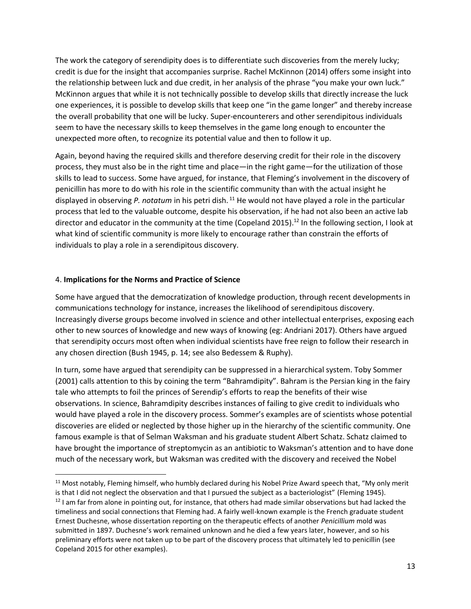The work the category of serendipity does is to differentiate such discoveries from the merely lucky; credit is due for the insight that accompanies surprise. Rachel McKinnon (2014) offers some insight into the relationship between luck and due credit, in her analysis of the phrase "you make your own luck." McKinnon argues that while it is not technically possible to develop skills that directly increase the luck one experiences, it is possible to develop skills that keep one "in the game longer" and thereby increase the overall probability that one will be lucky. Super-encounterers and other serendipitous individuals seem to have the necessary skills to keep themselves in the game long enough to encounter the unexpected more often, to recognize its potential value and then to follow it up.

Again, beyond having the required skills and therefore deserving credit for their role in the discovery process, they must also be in the right time and place—in the right game—for the utilization of those skills to lead to success. Some have argued, for instance, that Fleming's involvement in the discovery of penicillin has more to do with his role in the scientific community than with the actual insight he displayed in observing *P. notatum* in his petri dish. <sup>11</sup> He would not have played a role in the particular process that led to the valuable outcome, despite his observation, if he had not also been an active lab director and educator in the community at the time (Copeland 2015).<sup>12</sup> In the following section, I look at what kind of scientific community is more likely to encourage rather than constrain the efforts of individuals to play a role in a serendipitous discovery.

#### 4. **Implications for the Norms and Practice of Science**

 $\overline{\phantom{a}}$ 

Some have argued that the democratization of knowledge production, through recent developments in communications technology for instance, increases the likelihood of serendipitous discovery. Increasingly diverse groups become involved in science and other intellectual enterprises, exposing each other to new sources of knowledge and new ways of knowing (eg: Andriani 2017). Others have argued that serendipity occurs most often when individual scientists have free reign to follow their research in any chosen direction (Bush 1945, p. 14; see also Bedessem & Ruphy).

In turn, some have argued that serendipity can be suppressed in a hierarchical system. Toby Sommer (2001) calls attention to this by coining the term "Bahramdipity". Bahram is the Persian king in the fairy tale who attempts to foil the princes of Serendip's efforts to reap the benefits of their wise observations. In science, Bahramdipity describes instances of failing to give credit to individuals who would have played a role in the discovery process. Sommer's examples are of scientists whose potential discoveries are elided or neglected by those higher up in the hierarchy of the scientific community. One famous example is that of Selman Waksman and his graduate student Albert Schatz. Schatz claimed to have brought the importance of streptomycin as an antibiotic to Waksman's attention and to have done much of the necessary work, but Waksman was credited with the discovery and received the Nobel

<sup>&</sup>lt;sup>11</sup> Most notably, Fleming himself, who humbly declared during his Nobel Prize Award speech that, "My only merit

is that I did not neglect the observation and that I pursued the subject as a bacteriologist" (Fleming 1945).  $12$  I am far from alone in pointing out, for instance, that others had made similar observations but had lacked the timeliness and social connections that Fleming had. A fairly well-known example is the French graduate student Ernest Duchesne, whose dissertation reporting on the therapeutic effects of another *Penicillium* mold was submitted in 1897. Duchesne's work remained unknown and he died a few years later, however, and so his preliminary efforts were not taken up to be part of the discovery process that ultimately led to penicillin (see Copeland 2015 for other examples).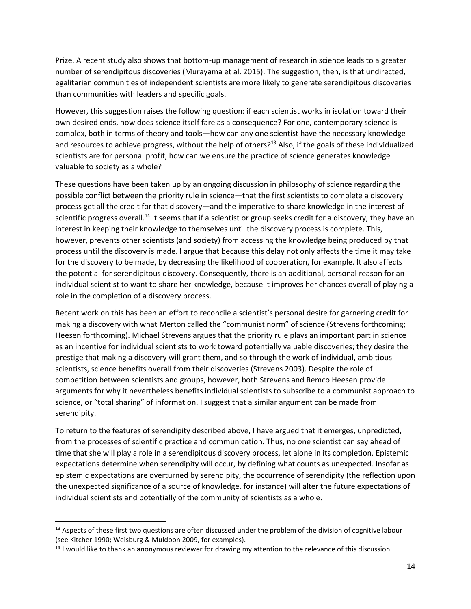Prize. A recent study also shows that bottom-up management of research in science leads to a greater number of serendipitous discoveries (Murayama et al. 2015). The suggestion, then, is that undirected, egalitarian communities of independent scientists are more likely to generate serendipitous discoveries than communities with leaders and specific goals.

However, this suggestion raises the following question: if each scientist works in isolation toward their own desired ends, how does science itself fare as a consequence? For one, contemporary science is complex, both in terms of theory and tools—how can any one scientist have the necessary knowledge and resources to achieve progress, without the help of others?<sup>13</sup> Also, if the goals of these individualized scientists are for personal profit, how can we ensure the practice of science generates knowledge valuable to society as a whole?

These questions have been taken up by an ongoing discussion in philosophy of science regarding the possible conflict between the priority rule in science—that the first scientists to complete a discovery process get all the credit for that discovery—and the imperative to share knowledge in the interest of scientific progress overall.<sup>14</sup> It seems that if a scientist or group seeks credit for a discovery, they have an interest in keeping their knowledge to themselves until the discovery process is complete. This, however, prevents other scientists (and society) from accessing the knowledge being produced by that process until the discovery is made. I argue that because this delay not only affects the time it may take for the discovery to be made, by decreasing the likelihood of cooperation, for example. It also affects the potential for serendipitous discovery. Consequently, there is an additional, personal reason for an individual scientist to want to share her knowledge, because it improves her chances overall of playing a role in the completion of a discovery process.

Recent work on this has been an effort to reconcile a scientist's personal desire for garnering credit for making a discovery with what Merton called the "communist norm" of science (Strevens forthcoming; Heesen forthcoming). Michael Strevens argues that the priority rule plays an important part in science as an incentive for individual scientists to work toward potentially valuable discoveries; they desire the prestige that making a discovery will grant them, and so through the work of individual, ambitious scientists, science benefits overall from their discoveries (Strevens 2003). Despite the role of competition between scientists and groups, however, both Strevens and Remco Heesen provide arguments for why it nevertheless benefits individual scientists to subscribe to a communist approach to science, or "total sharing" of information. I suggest that a similar argument can be made from serendipity.

To return to the features of serendipity described above, I have argued that it emerges, unpredicted, from the processes of scientific practice and communication. Thus, no one scientist can say ahead of time that she will play a role in a serendipitous discovery process, let alone in its completion. Epistemic expectations determine when serendipity will occur, by defining what counts as unexpected. Insofar as epistemic expectations are overturned by serendipity, the occurrence of serendipity (the reflection upon the unexpected significance of a source of knowledge, for instance) will alter the future expectations of individual scientists and potentially of the community of scientists as a whole.

 $\overline{\phantom{a}}$ 

 $13$  Aspects of these first two questions are often discussed under the problem of the division of cognitive labour (see Kitcher 1990; Weisburg & Muldoon 2009, for examples).

<sup>&</sup>lt;sup>14</sup> I would like to thank an anonymous reviewer for drawing my attention to the relevance of this discussion.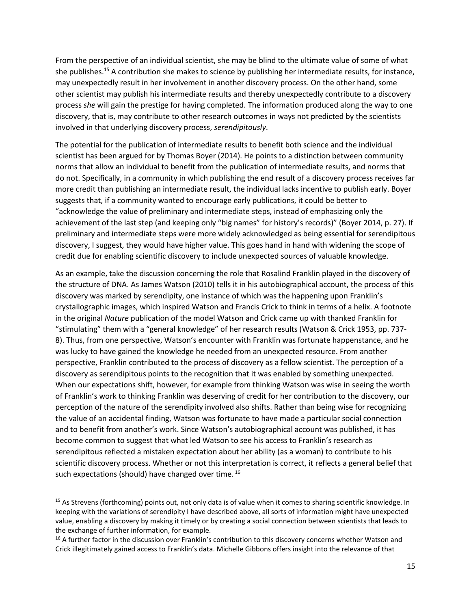From the perspective of an individual scientist, she may be blind to the ultimate value of some of what she publishes.<sup>15</sup> A contribution she makes to science by publishing her intermediate results, for instance, may unexpectedly result in her involvement in another discovery process. On the other hand, some other scientist may publish his intermediate results and thereby unexpectedly contribute to a discovery process *she* will gain the prestige for having completed. The information produced along the way to one discovery, that is, may contribute to other research outcomes in ways not predicted by the scientists involved in that underlying discovery process, *serendipitously*.

The potential for the publication of intermediate results to benefit both science and the individual scientist has been argued for by Thomas Boyer (2014). He points to a distinction between community norms that allow an individual to benefit from the publication of intermediate results, and norms that do not. Specifically, in a community in which publishing the end result of a discovery process receives far more credit than publishing an intermediate result, the individual lacks incentive to publish early. Boyer suggests that, if a community wanted to encourage early publications, it could be better to "acknowledge the value of preliminary and intermediate steps, instead of emphasizing only the achievement of the last step (and keeping only "big names" for history's records)" (Boyer 2014, p. 27). If preliminary and intermediate steps were more widely acknowledged as being essential for serendipitous discovery, I suggest, they would have higher value. This goes hand in hand with widening the scope of credit due for enabling scientific discovery to include unexpected sources of valuable knowledge.

As an example, take the discussion concerning the role that Rosalind Franklin played in the discovery of the structure of DNA. As James Watson (2010) tells it in his autobiographical account, the process of this discovery was marked by serendipity, one instance of which was the happening upon Franklin's crystallographic images, which inspired Watson and Francis Crick to think in terms of a helix. A footnote in the original *Nature* publication of the model Watson and Crick came up with thanked Franklin for "stimulating" them with a "general knowledge" of her research results (Watson & Crick 1953, pp. 737- 8). Thus, from one perspective, Watson's encounter with Franklin was fortunate happenstance, and he was lucky to have gained the knowledge he needed from an unexpected resource. From another perspective, Franklin contributed to the process of discovery as a fellow scientist. The perception of a discovery as serendipitous points to the recognition that it was enabled by something unexpected. When our expectations shift, however, for example from thinking Watson was wise in seeing the worth of Franklin's work to thinking Franklin was deserving of credit for her contribution to the discovery, our perception of the nature of the serendipity involved also shifts. Rather than being wise for recognizing the value of an accidental finding, Watson was fortunate to have made a particular social connection and to benefit from another's work. Since Watson's autobiographical account was published, it has become common to suggest that what led Watson to see his access to Franklin's research as serendipitous reflected a mistaken expectation about her ability (as a woman) to contribute to his scientific discovery process. Whether or not this interpretation is correct, it reflects a general belief that such expectations (should) have changed over time. <sup>16</sup>

 $\overline{a}$ 

<sup>&</sup>lt;sup>15</sup> As Strevens (forthcoming) points out, not only data is of value when it comes to sharing scientific knowledge. In keeping with the variations of serendipity I have described above, all sorts of information might have unexpected value, enabling a discovery by making it timely or by creating a social connection between scientists that leads to the exchange of further information, for example.

<sup>&</sup>lt;sup>16</sup> A further factor in the discussion over Franklin's contribution to this discovery concerns whether Watson and Crick illegitimately gained access to Franklin's data. Michelle Gibbons offers insight into the relevance of that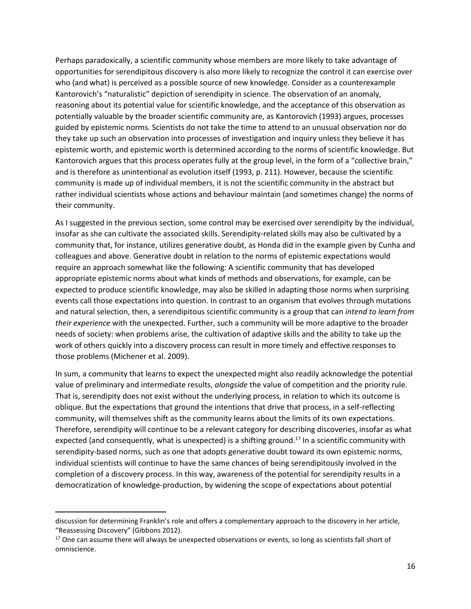Perhaps paradoxically, a scientific community whose members are more likely to take advantage of opportunities for serendipitous discovery is also more likely to recognize the control it can exercise over who (and what) is perceived as a possible source of new knowledge. Consider as a counterexample Kantorovich's "naturalistic" depiction of serendipity in science. The observation of an anomaly, reasoning about its potential value for scientific knowledge, and the acceptance of this observation as potentially valuable by the broader scientific community are, as Kantorovich (1993) argues, processes guided by epistemic norms. Scientists do not take the time to attend to an unusual observation nor do they take up such an observation into processes of investigation and inquiry unless they believe it has epistemic worth, and epistemic worth is determined according to the norms of scientific knowledge. But Kantorovich argues that this process operates fully at the group level, in the form of a "collective brain," and is therefore as unintentional as evolution itself (1993, p. 211). However, because the scientific community is made up of individual members, it is not the scientific community in the abstract but rather individual scientists whose actions and behaviour maintain (and sometimes change) the norms of their community.

As I suggested in the previous section, some control may be exercised over serendipity by the individual, insofar as she can cultivate the associated skills. Serendipity-related skills may also be cultivated by a community that, for instance, utilizes generative doubt, as Honda did in the example given by Cunha and colleagues and above. Generative doubt in relation to the norms of epistemic expectations would require an approach somewhat like the following: A scientific community that has developed appropriate epistemic norms about what kinds of methods and observations, for example, can be expected to produce scientific knowledge, may also be skilled in adapting those norms when surprising events call those expectations into question. In contrast to an organism that evolves through mutations and natural selection, then, a serendipitous scientific community is a group that can *intend to learn from their experience* with the unexpected. Further, such a community will be more adaptive to the broader needs of society: when problems arise, the cultivation of adaptive skills and the ability to take up the work of others quickly into a discovery process can result in more timely and effective responses to those problems (Michener et al. 2009).

In sum, a community that learns to expect the unexpected might also readily acknowledge the potential value of preliminary and intermediate results, *alongside* the value of competition and the priority rule. That is, serendipity does not exist without the underlying process, in relation to which its outcome is oblique. But the expectations that ground the intentions that drive that process, in a self-reflecting community, will themselves shift as the community learns about the limits of its own expectations. Therefore, serendipity will continue to be a relevant category for describing discoveries, insofar as what expected (and consequently, what is unexpected) is a shifting ground.<sup>17</sup> In a scientific community with serendipity-based norms, such as one that adopts generative doubt toward its own epistemic norms, individual scientists will continue to have the same chances of being serendipitously involved in the completion of a discovery process. In this way, awareness of the potential for serendipity results in a democratization of knowledge-production, by widening the scope of expectations about potential

 $\overline{a}$ 

discussion for determining Franklin's role and offers a complementary approach to the discovery in her article, "Reassessing Discovery" (Gibbons 2012).

<sup>&</sup>lt;sup>17</sup> One can assume there will always be unexpected observations or events, so long as scientists fall short of omniscience.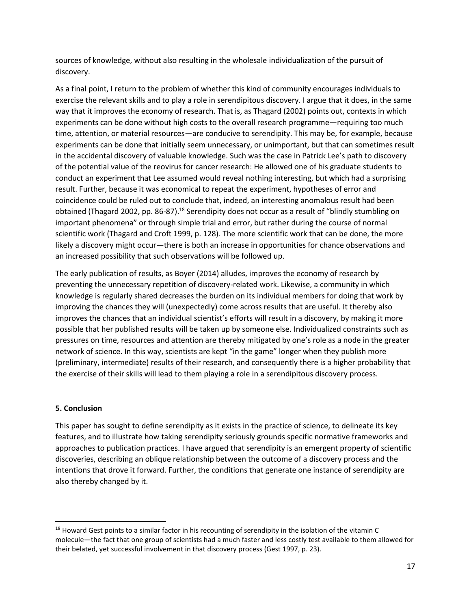sources of knowledge, without also resulting in the wholesale individualization of the pursuit of discovery.

As a final point, I return to the problem of whether this kind of community encourages individuals to exercise the relevant skills and to play a role in serendipitous discovery. I argue that it does, in the same way that it improves the economy of research. That is, as Thagard (2002) points out, contexts in which experiments can be done without high costs to the overall research programme—requiring too much time, attention, or material resources—are conducive to serendipity. This may be, for example, because experiments can be done that initially seem unnecessary, or unimportant, but that can sometimes result in the accidental discovery of valuable knowledge. Such was the case in Patrick Lee's path to discovery of the potential value of the reovirus for cancer research: He allowed one of his graduate students to conduct an experiment that Lee assumed would reveal nothing interesting, but which had a surprising result. Further, because it was economical to repeat the experiment, hypotheses of error and coincidence could be ruled out to conclude that, indeed, an interesting anomalous result had been obtained (Thagard 2002, pp. 86-87).<sup>18</sup> Serendipity does not occur as a result of "blindly stumbling on important phenomena" or through simple trial and error, but rather during the course of normal scientific work (Thagard and Croft 1999, p. 128). The more scientific work that can be done, the more likely a discovery might occur—there is both an increase in opportunities for chance observations and an increased possibility that such observations will be followed up.

The early publication of results, as Boyer (2014) alludes, improves the economy of research by preventing the unnecessary repetition of discovery-related work. Likewise, a community in which knowledge is regularly shared decreases the burden on its individual members for doing that work by improving the chances they will (unexpectedly) come across results that are useful. It thereby also improves the chances that an individual scientist's efforts will result in a discovery, by making it more possible that her published results will be taken up by someone else. Individualized constraints such as pressures on time, resources and attention are thereby mitigated by one's role as a node in the greater network of science. In this way, scientists are kept "in the game" longer when they publish more (preliminary, intermediate) results of their research, and consequently there is a higher probability that the exercise of their skills will lead to them playing a role in a serendipitous discovery process.

#### **5. Conclusion**

 $\overline{\phantom{a}}$ 

This paper has sought to define serendipity as it exists in the practice of science, to delineate its key features, and to illustrate how taking serendipity seriously grounds specific normative frameworks and approaches to publication practices. I have argued that serendipity is an emergent property of scientific discoveries, describing an oblique relationship between the outcome of a discovery process and the intentions that drove it forward. Further, the conditions that generate one instance of serendipity are also thereby changed by it.

<sup>&</sup>lt;sup>18</sup> Howard Gest points to a similar factor in his recounting of serendipity in the isolation of the vitamin C molecule—the fact that one group of scientists had a much faster and less costly test available to them allowed for their belated, yet successful involvement in that discovery process (Gest 1997, p. 23).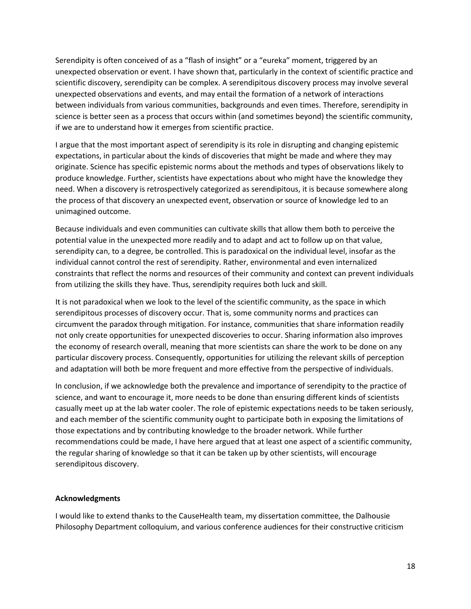Serendipity is often conceived of as a "flash of insight" or a "eureka" moment, triggered by an unexpected observation or event. I have shown that, particularly in the context of scientific practice and scientific discovery, serendipity can be complex. A serendipitous discovery process may involve several unexpected observations and events, and may entail the formation of a network of interactions between individuals from various communities, backgrounds and even times. Therefore, serendipity in science is better seen as a process that occurs within (and sometimes beyond) the scientific community, if we are to understand how it emerges from scientific practice.

I argue that the most important aspect of serendipity is its role in disrupting and changing epistemic expectations, in particular about the kinds of discoveries that might be made and where they may originate. Science has specific epistemic norms about the methods and types of observations likely to produce knowledge. Further, scientists have expectations about who might have the knowledge they need. When a discovery is retrospectively categorized as serendipitous, it is because somewhere along the process of that discovery an unexpected event, observation or source of knowledge led to an unimagined outcome.

Because individuals and even communities can cultivate skills that allow them both to perceive the potential value in the unexpected more readily and to adapt and act to follow up on that value, serendipity can, to a degree, be controlled. This is paradoxical on the individual level, insofar as the individual cannot control the rest of serendipity. Rather, environmental and even internalized constraints that reflect the norms and resources of their community and context can prevent individuals from utilizing the skills they have. Thus, serendipity requires both luck and skill.

It is not paradoxical when we look to the level of the scientific community, as the space in which serendipitous processes of discovery occur. That is, some community norms and practices can circumvent the paradox through mitigation. For instance, communities that share information readily not only create opportunities for unexpected discoveries to occur. Sharing information also improves the economy of research overall, meaning that more scientists can share the work to be done on any particular discovery process. Consequently, opportunities for utilizing the relevant skills of perception and adaptation will both be more frequent and more effective from the perspective of individuals.

In conclusion, if we acknowledge both the prevalence and importance of serendipity to the practice of science, and want to encourage it, more needs to be done than ensuring different kinds of scientists casually meet up at the lab water cooler. The role of epistemic expectations needs to be taken seriously, and each member of the scientific community ought to participate both in exposing the limitations of those expectations and by contributing knowledge to the broader network. While further recommendations could be made, I have here argued that at least one aspect of a scientific community, the regular sharing of knowledge so that it can be taken up by other scientists, will encourage serendipitous discovery.

#### **Acknowledgments**

I would like to extend thanks to the CauseHealth team, my dissertation committee, the Dalhousie Philosophy Department colloquium, and various conference audiences for their constructive criticism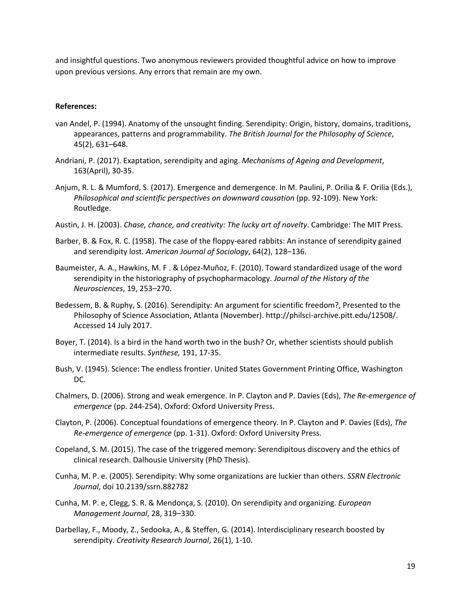and insightful questions. Two anonymous reviewers provided thoughtful advice on how to improve upon previous versions. Any errors that remain are my own.

#### **References:**

- van Andel, P. (1994). Anatomy of the unsought finding. Serendipity: Origin, history, domains, traditions, appearances, patterns and programmability. *The British Journal for the Philosophy of Science*, 45(2), 631–648.
- Andriani, P. (2017). Exaptation, serendipity and aging. *Mechanisms of Ageing and Development*, 163(April), 30-35.
- Anjum, R. L. & Mumford, S. (2017). Emergence and demergence. In M. Paulini, P. Orilia & F. Orilia (Eds.), *Philosophical and scientific perspectives on downward causation* (pp. 92-109). New York: Routledge.
- Austin, J. H. (2003). *Chase, chance, and creativity: The lucky art of novelty*. Cambridge: The MIT Press.
- Barber, B. & Fox, R. C. (1958). The case of the floppy-eared rabbits: An instance of serendipity gained and serendipity lost. *American Journal of Sociology*, 64(2), 128–136.
- Baumeister, A. A., Hawkins, M. F . & López-Muñoz, F. (2010). Toward standardized usage of the word serendipity in the historiography of psychopharmacology. *Journal of the History of the Neurosciences*, 19, 253–270.
- Bedessem, B. & Ruphy, S. (2016). Serendipity: An argument for scientific freedom?, Presented to the Philosophy of Science Association, Atlanta (November). http://philsci-archive.pitt.edu/12508/. Accessed 14 July 2017.
- Boyer, T. (2014). Is a bird in the hand worth two in the bush? Or, whether scientists should publish intermediate results. *Synthese,* 191, 17-35.
- Bush, V. (1945). Science: The endless frontier. United States Government Printing Office, Washington DC.
- Chalmers, D. (2006). Strong and weak emergence. In P. Clayton and P. Davies (Eds), *The Re-emergence of emergence* (pp. 244-254). Oxford: Oxford University Press.
- Clayton, P. (2006). Conceptual foundations of emergence theory. In P. Clayton and P. Davies (Eds), *The Re-emergence of emergence* (pp. 1-31). Oxford: Oxford University Press.
- Copeland, S. M. (2015). The case of the triggered memory: Serendipitous discovery and the ethics of clinical research. Dalhousie University (PhD Thesis).
- Cunha, M. P. e. (2005). Serendipity: Why some organizations are luckier than others. *SSRN Electronic Journal*, doi 10.2139/ssrn.882782
- Cunha, M. P. e, Clegg, S. R. & Mendonça, S. (2010). On serendipity and organizing. *European Management Journal*, 28, 319–330.
- Darbellay, F., Moody, Z., Sedooka, A., & Steffen, G. (2014). Interdisciplinary research boosted by serendipity. *Creativity Research Journal*, 26(1), 1-10.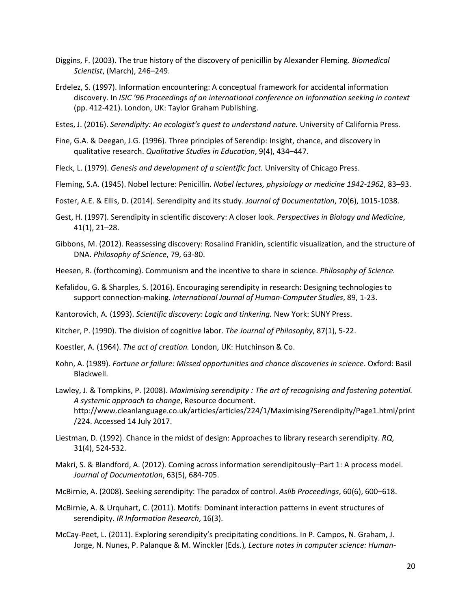- Diggins, F. (2003). The true history of the discovery of penicillin by Alexander Fleming. *Biomedical Scientist*, (March), 246–249.
- Erdelez, S. (1997). Information encountering: A conceptual framework for accidental information discovery. In *ISIC '96 Proceedings of an international conference on Information seeking in context* (pp. 412-421). London, UK: Taylor Graham Publishing.
- Estes, J. (2016). *Serendipity: An ecologist's quest to understand nature.* University of California Press.
- Fine, G.A. & Deegan, J.G. (1996). Three principles of Serendip: Insight, chance, and discovery in qualitative research. *Qualitative Studies in Education*, 9(4), 434–447.
- Fleck, L. (1979). *Genesis and development of a scientific fact.* University of Chicago Press.
- Fleming, S.A. (1945). Nobel lecture: Penicillin. *Nobel lectures, physiology or medicine 1942-1962*, 83–93.
- Foster, A.E. & Ellis, D. (2014). Serendipity and its study. *Journal of Documentation*, 70(6), 1015-1038.
- Gest, H. (1997). Serendipity in scientific discovery: A closer look. *Perspectives in Biology and Medicine*, 41(1), 21–28.
- Gibbons, M. (2012). Reassessing discovery: Rosalind Franklin, scientific visualization, and the structure of DNA. *Philosophy of Science*, 79, 63-80.
- Heesen, R. (forthcoming). Communism and the incentive to share in science. *Philosophy of Science.*
- Kefalidou, G. & Sharples, S. (2016). Encouraging serendipity in research: Designing technologies to support connection-making. *International Journal of Human-Computer Studies*, 89, 1-23.
- Kantorovich, A. (1993). *Scientific discovery: Logic and tinkering.* New York: SUNY Press.
- Kitcher, P. (1990). The division of cognitive labor. *The Journal of Philosophy*, 87(1), 5-22.
- Koestler, A. (1964). *The act of creation.* London, UK: Hutchinson & Co.
- Kohn, A. (1989). *Fortune or failure: Missed opportunities and chance discoveries in science*. Oxford: Basil Blackwell.
- Lawley, J. & Tompkins, P. (2008). *Maximising serendipity : The art of recognising and fostering potential. A systemic approach to change*, Resource document. http://www.cleanlanguage.co.uk/articles/articles/224/1/Maximising?Serendipity/Page1.html/print /224. Accessed 14 July 2017.
- Liestman, D. (1992). Chance in the midst of design: Approaches to library research serendipity. *RQ*, 31(4), 524-532.
- Makri, S. & Blandford, A. (2012). Coming across information serendipitously–Part 1: A process model. *Journal of Documentation*, 63(5), 684-705.
- McBirnie, A. (2008). Seeking serendipity: The paradox of control. *Aslib Proceedings*, 60(6), 600–618.
- McBirnie, A. & Urquhart, C. (2011). Motifs: Dominant interaction patterns in event structures of serendipity. *IR Information Research*, 16(3).
- McCay-Peet, L. (2011). Exploring serendipity's precipitating conditions. In P. Campos, N. Graham, J. Jorge, N. Nunes, P. Palanque & M. Winckler (Eds.)*, Lecture notes in computer science: Human-*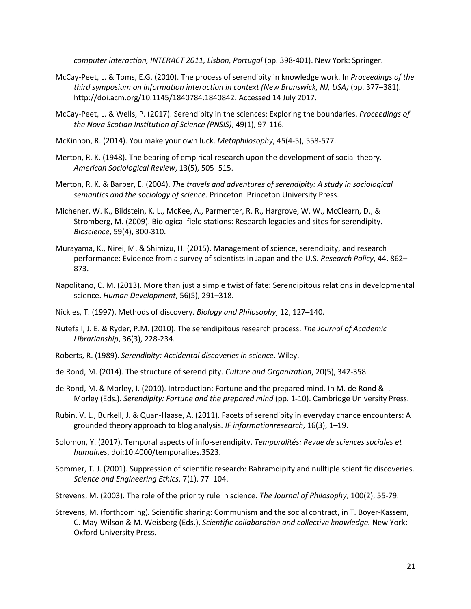*computer interaction, INTERACT 2011, Lisbon, Portugal (pp. 398-401). New York: Springer.* 

- McCay-Peet, L. & Toms, E.G. (2010). The process of serendipity in knowledge work. In *Proceedings of the third symposium on information interaction in context (New Brunswick, NJ, USA)* (pp. 377–381). http://doi.acm.org/10.1145/1840784.1840842. Accessed 14 July 2017.
- McCay-Peet, L. & Wells, P. (2017). Serendipity in the sciences: Exploring the boundaries. *Proceedings of the Nova Scotian Institution of Science (PNSIS)*, 49(1), 97-116.
- McKinnon, R. (2014). You make your own luck. *Metaphilosophy*, 45(4-5), 558-577.
- Merton, R. K. (1948). The bearing of empirical research upon the development of social theory. *American Sociological Review*, 13(5), 505–515.
- Merton, R. K. & Barber, E. (2004). *The travels and adventures of serendipity: A study in sociological semantics and the sociology of science*. Princeton: Princeton University Press.
- Michener, W. K., Bildstein, K. L., McKee, A., Parmenter, R. R., Hargrove, W. W., McClearn, D., & Stromberg, M. (2009). Biological field stations: Research legacies and sites for serendipity. *Bioscience*, 59(4), 300-310.
- Murayama, K., Nirei, M. & Shimizu, H. (2015). Management of science, serendipity, and research performance: Evidence from a survey of scientists in Japan and the U.S. *Research Policy*, 44, 862– 873.
- Napolitano, C. M. (2013). More than just a simple twist of fate: Serendipitous relations in developmental science. *Human Development*, 56(5), 291–318.
- Nickles, T. (1997). Methods of discovery. *Biology and Philosophy*, 12, 127–140.
- Nutefall, J. E. & Ryder, P.M. (2010). The serendipitous research process. *The Journal of Academic Librarianship*, 36(3), 228-234.
- Roberts, R. (1989). *Serendipity: Accidental discoveries in science*. Wiley.
- de Rond, M. (2014). The structure of serendipity. *Culture and Organization*, 20(5), 342-358.
- de Rond, M. & Morley, I. (2010). Introduction: Fortune and the prepared mind. In M. de Rond & I. Morley (Eds.). *Serendipity: Fortune and the prepared mind* (pp. 1-10). Cambridge University Press.
- Rubin, V. L., Burkell, J. & Quan-Haase, A. (2011). Facets of serendipity in everyday chance encounters: A grounded theory approach to blog analysis. *IF informationresearch*, 16(3), 1–19.
- Solomon, Y. (2017). Temporal aspects of info-serendipity. *Temporalités: Revue de sciences sociales et humaines*, doi:10.4000/temporalites.3523.
- Sommer, T. J. (2001). Suppression of scientific research: Bahramdipity and nulltiple scientific discoveries. *Science and Engineering Ethics*, 7(1), 77–104.
- Strevens, M. (2003). The role of the priority rule in science. *The Journal of Philosophy*, 100(2), 55-79.
- Strevens, M. (forthcoming)*.* Scientific sharing: Communism and the social contract, in T. Boyer-Kassem, C. May-Wilson & M. Weisberg (Eds.), *Scientific collaboration and collective knowledge.* New York: Oxford University Press.